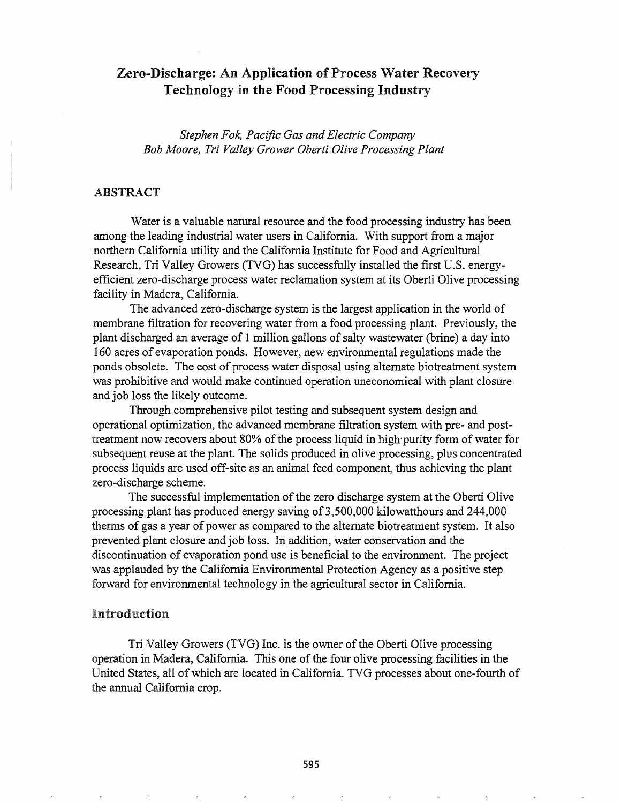# Zero-Discharge: An Application of Process Water Recovery Technology in the Food Processing Industry

*Stephen Fok, Pacific Gas and Electric Company Bob Moore, Tri Valley Grower Oberti Olive Processing Plant*

## ABSTRACT

Water is a valuable natural resource and the food processing industry has been among the leading industrial water users in California. With support from a major northern California utility and the California Institute for Food and Agricultural Research, Tri Valley Growers (TVG) has successfully installed the first U.S. energyefficient zero-discharge process water reclamation system at its Oberti Olive processing facility in Madera, California.

The advanced zero-discharge system is the largest application in the world of membrane filtration for recovering water from a food processing plant. Previously, the plant discharged an average of 1 million gallons of salty wastewater (brine) a day into 160 acres of evaporation ponds.. However, new environmental regulations made the ponds obsolete. The cost of process water disposal using alternate biotreatment system was prohibitive and would make continued operation uneconomical with plant closure and job loss the likely outcome.

Through comprehensive pilot testing and subsequent system design and operational optimization, the advanced membrane filtration system with pre- and posttreatment now recovers about 80% of the process liquid in high purity form of water for subsequent reuse at the plant. The solids produced in olive processing, plus concentrated process liquids are used off-site as an animal feed component, thus achieving the plant zero-discharge scheme.

The successful implementation of the zero discharge system at the Oberti Olive processing plant has produced energy saving of 3,500,000 kilowatthours and 244,000 therms of gas a year of power as compared to the alternate biotreatment system. It also prevented plant closure and job loss. In addition, water conservation and the discontinuation of evaporation pond use is beneficial to the environment. The project was applauded by the California Environmental Protection Agency as a positive step forward for environmental technology in the agricultural sector in California..

# Introduction

Tri Valley Growers (TVG) Inc. is the owner of the Oberti Olive processing operation in Madera, California. This one of the four olive processing facilities in the United States, all ofwhich are located in California. TVG processes about one-fourth of the annual California crop.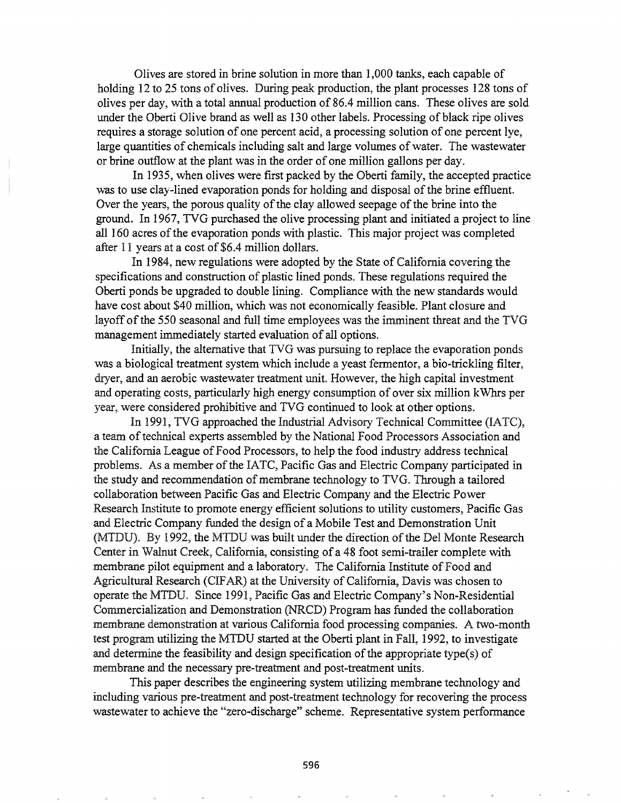Olives are stored in brine solution in more than 1,000 tanks, each capable of holding 12 to 25 tons of olives. During peak production, the plant processes 128 tons of olives per day, with a total annual production of 86.4 million cans. These olives are sold under the Oberti Olive brand as well as 130 other labels. Processing of black ripe olives requires a storage solution of one percent acid, a processing solution of one percent lye, large quantities of chemicals including salt and large volumes of water. The wastewater or brine outflow at the plant was in the order of one million gallons per day.

In 1935, when olives were first packed by the Oberti family, the accepted practice was to use clay-lined evaporation ponds for holding and disposal of the brine effluent. Over the years, the porous quality of the clay allowed seepage of the brine into the ground. In 1967, TVG purchased the olive processing plant and initiated a project to line all 160 acres of the evaporation ponds with plastic. This major project was completed after 11 years at a cost of \$6.4 million dollars.

In 1984, new regulations were adopted by the State of California covering the specifications and construction of plastic lined ponds. These regulations required the Oberti ponds be upgraded to double lining. Compliance with the new standards would have cost about \$40 million, which was not economically feasible. Plant closure and layoff of the 550 seasonal and full time employees was the imminent threat and the TVG management immediately started evaluation of all options.

Initially, the alternative that TVG was pursuing to replace the evaporation ponds was a biological treatment system which include a yeast fermentor, a bio-trickling filter, dryer, and an aerobic wastewater treatment unit. However, the high capital investment and operating costs, particularly high energy consumption of over six million kWhrs per year, were considered prohibitive and TVG continued to look at other options.

In 1991, TVG approached the Industrial Advisory Technical Committee (IATC), a team of technical experts assembled by the National Food Processors Association and the California League of Food Processors, to help the food industry address technical problems. As a member of the IATC, Pacific Gas and Electric Company participated in the study and recommendation of membrane technology to TVG. Through a tailored collaboration between Pacific Gas and Electric Company and the Electric Power Research Institute to promote energy efficient solutions to utility customers, Pacific Gas and Electric Company funded the design of a Mobile Test and Demonstration Unit (MTDU). By 1992, the MTDU was built under the direction of the Del Monte Research Center in Walnut Creek, California, consisting of a 48 foot semi-trailer complete with membrane pilot equipment and a laboratory. The California Institute of Food and Agricultural Research (CIFAR) at the University of California, Davis was chosen to operate the MTDU. Since 1991, Pacific Gas and Electric Company's Non-Residential Commercialization and Demonstration (NRCD) Program has funded the collaboration membrane demonstration at various California food processing companies. A two-month test program utilizing the MTDU started at the Oberti plant in Fall, 1992, to investigate and determine the feasibility and design specification of the appropriate type(s) of membrane and the necessary pre-treatment and post-treatment units.

This paper describes the engineering system utilizing membrane technology and including various pre-treatment and post-treatment technology for recovering the process wastewater to achieve the "zero-discharge" scheme.. Representative system performance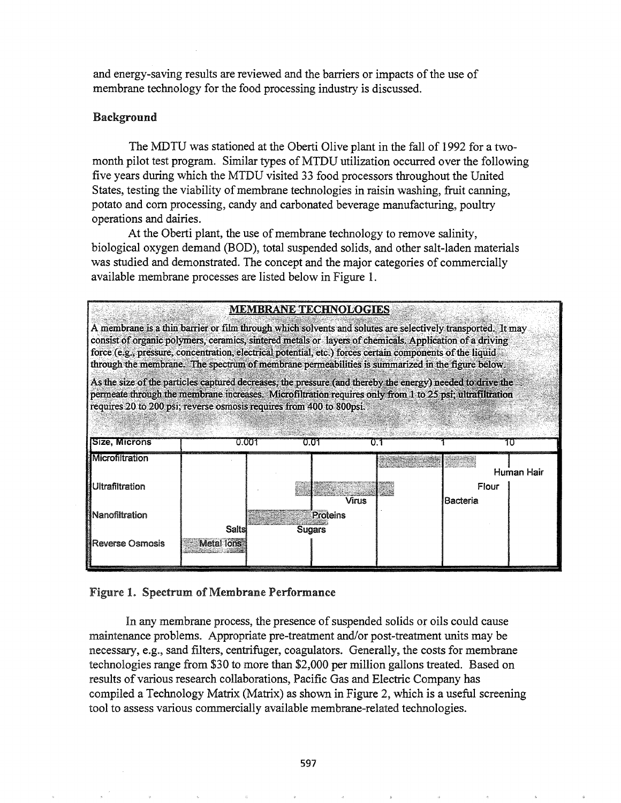and energy-saving results are reviewed and the barriers or impacts of the use of membrane technology for the food processing industry is discussed.

# Background

The MDTU was stationed at the Oberti Olive plant in the fall of 1992 for a twomonth pilot test program. Similar types of MTDU utilization occurred over the following five years during which the MTDU visited 33 food processors throughout the United States, testing the viability of membrane technologies in raisin washing, fruit canning, potato and com processing, candy and carbonated beverage manufacturing, poultry operations and dairies.

At the Oberti plant, the use of membrane technology to remove salinity, biological oxygen demand (BOD), total suspended solids, and other salt-laden materials was studied and demonstrated. The concept and the major categories of commercially available membrane processes are listed below in Figure 1.

| <b>MEMBRANE TECHNOLOGIES</b>                                                                                                                                                                                                                                                                                                                                                                                                            |                            |  |          |  |          |            |  |  |
|-----------------------------------------------------------------------------------------------------------------------------------------------------------------------------------------------------------------------------------------------------------------------------------------------------------------------------------------------------------------------------------------------------------------------------------------|----------------------------|--|----------|--|----------|------------|--|--|
| A membrane is a thin barrier or film through which solvents and solutes are selectively transported. It may<br>consist of organic polymers, ceramics, sintered metals or layers of chemicals. Application of a driving<br>force (e.g., pressure, concentration, electrical potential, etc.) forces certain components of the liquid<br>through the membrane. The spectrum of membrane permeabilities is summarized in the figure below. |                            |  |          |  |          |            |  |  |
| As the size of the particles captured decreases, the pressure (and thereby the energy) needed to drive the<br>permeate through the membrane increases. Microfiltration requires only from 1 to 25 psi; ultrafiltration<br>requires 20 to 200 psi; reverse osmosis requires from 400 to 800psi.<br>Size, Microns<br>0.001<br>0.01                                                                                                        |                            |  |          |  |          |            |  |  |
| Microfiltration                                                                                                                                                                                                                                                                                                                                                                                                                         |                            |  |          |  |          |            |  |  |
| Ultrafiltration                                                                                                                                                                                                                                                                                                                                                                                                                         |                            |  |          |  | Flour    | Human Hair |  |  |
|                                                                                                                                                                                                                                                                                                                                                                                                                                         |                            |  | Virus    |  | Bacteria |            |  |  |
| Nanofiltration                                                                                                                                                                                                                                                                                                                                                                                                                          |                            |  | Proteins |  |          |            |  |  |
| ∦Reverse Osmosis                                                                                                                                                                                                                                                                                                                                                                                                                        | Salts<br><b>Metal lons</b> |  | Sugars   |  |          |            |  |  |

# Figure 1. Spectrum of Membrane Performance

In any membrane process, the presence of suspended solids or oils could cause maintenance problems. Appropriate pre-treatment and/or post-treatment units may be necessary, e.g., sand filters, centrifuger, coagulators. Generally, the costs for membrane technologies range from \$30 to more than \$2,000 per million gallons treated. Based on results of various research collaborations, Pacific Gas and Electric Company has compiled a Technology Matrix (Matrix) as shown in Figure 2, which is a useful screening tool to assess various commercially available membrane-related technologies.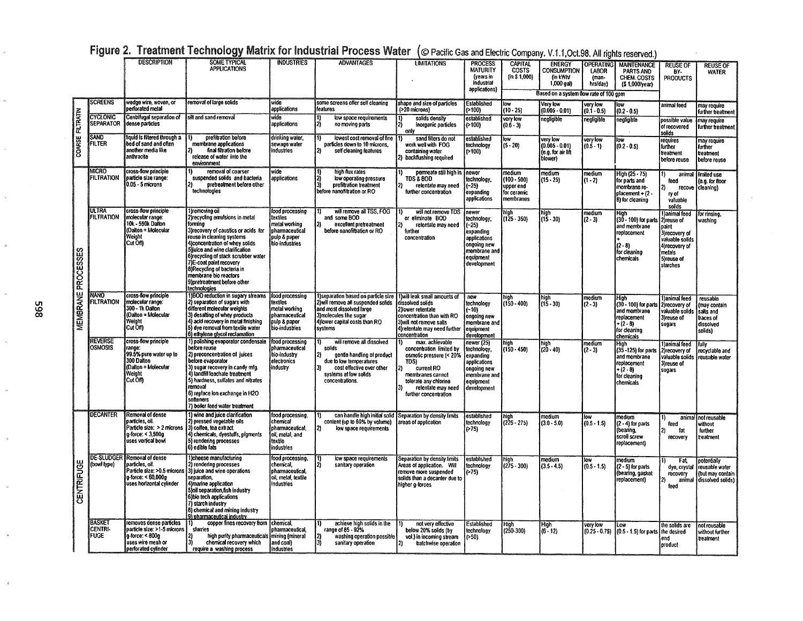|                           |                                   | <b>DESCRIPTION</b>                                                                                                    | <b>SOME TYPICAL</b>                                                                                                                                                                                                                                                                                                                                                               | <b>INDUSTRIES</b>                                                                                | <b>ADVANTAGES</b>                                                                                                                                                               | <b>LIMITATIONS</b>                                                                                                                                                                             | <b>PROCESS</b>                                                                                                         | <b>CAPITAL</b>                                                   | <b>ENERGY</b>                                                 | <b>OPERATING</b>            | <b>MAINTENANCE</b>                                                                                                         | <b>REUSE OF</b>                                                                                                                  | reuse of                                                                        |
|---------------------------|-----------------------------------|-----------------------------------------------------------------------------------------------------------------------|-----------------------------------------------------------------------------------------------------------------------------------------------------------------------------------------------------------------------------------------------------------------------------------------------------------------------------------------------------------------------------------|--------------------------------------------------------------------------------------------------|---------------------------------------------------------------------------------------------------------------------------------------------------------------------------------|------------------------------------------------------------------------------------------------------------------------------------------------------------------------------------------------|------------------------------------------------------------------------------------------------------------------------|------------------------------------------------------------------|---------------------------------------------------------------|-----------------------------|----------------------------------------------------------------------------------------------------------------------------|----------------------------------------------------------------------------------------------------------------------------------|---------------------------------------------------------------------------------|
|                           |                                   |                                                                                                                       | <b>APPLICATIONS</b>                                                                                                                                                                                                                                                                                                                                                               |                                                                                                  |                                                                                                                                                                                 |                                                                                                                                                                                                | <b>MATURITY</b><br>(years in                                                                                           | <b>COSTS</b><br>(in \$1.000)                                     | <b>CONSUMPTION</b><br>(in kWh/                                | LABOR<br>(man-              | PARTS AND<br>CHEM. COSTS                                                                                                   | RY-<br><b>PRODUCTS</b>                                                                                                           | <b>WATER</b>                                                                    |
|                           |                                   |                                                                                                                       |                                                                                                                                                                                                                                                                                                                                                                                   |                                                                                                  |                                                                                                                                                                                 |                                                                                                                                                                                                | industrial                                                                                                             |                                                                  | 1,000 gal)                                                    | hrs/day)                    | (\$1,000/year)                                                                                                             |                                                                                                                                  |                                                                                 |
|                           |                                   |                                                                                                                       |                                                                                                                                                                                                                                                                                                                                                                                   |                                                                                                  |                                                                                                                                                                                 |                                                                                                                                                                                                | applications)                                                                                                          |                                                                  | Based on a system flow rate of 100 gpm                        |                             |                                                                                                                            |                                                                                                                                  |                                                                                 |
|                           | <b>SCREENS</b>                    | wedge wire, woven, or<br><b>perforated metal</b>                                                                      | removal of large solids                                                                                                                                                                                                                                                                                                                                                           | wide<br>applications                                                                             | some screens offer self cleaning<br>features                                                                                                                                    | shape and size of particles<br>(>20 microns)                                                                                                                                                   | <b>Established</b><br>>100)                                                                                            | low<br>$(10 - 25)$                                               | Very low<br>(0.005 - 0.01)                                    | very low<br>$(0.1 - 0.5)$   | low<br>$(0.2 - 0.5)$                                                                                                       | animal feed                                                                                                                      | may require<br>further treatment                                                |
| <b>FILTRATIN</b>          | <b>CYCLONIC</b><br>SEPARATOR      | Centrifugal separation of<br>dense particles                                                                          | silt and sand removal                                                                                                                                                                                                                                                                                                                                                             | wide<br>applications                                                                             | low space requirements<br>12)<br>no moving parts                                                                                                                                | solids density<br>inorganic particles<br>only                                                                                                                                                  | established<br>(>100)                                                                                                  | very low<br>$(0.6 - 3)$                                          | negligible                                                    | negligible                  | negligible                                                                                                                 | possible value<br>of recovered<br>solids                                                                                         | may require<br>further treatment                                                |
| COARSE                    | Sánd<br>FILTER                    | liquid is filtered through a<br>bed of sand and often<br>another media like<br>anthracite                             | prefiltration before<br>mambrane applications<br>final filtration before<br>release of water into the<br>environment                                                                                                                                                                                                                                                              | drinking waler,<br>sewage water<br>industries                                                    | lowest cost removal of fine<br>particles down to 10 microns.<br>self cleaning features                                                                                          | sand filters do not<br>work well with FOG<br>containing water<br>2) backflushing required                                                                                                      | established<br>technology<br>(>100)                                                                                    | low<br>$(5 - 20)$                                                | very low<br>$(0.005 - 0.01)$<br>(e.g. for air lift<br>blower) | very low<br>$(0.5 - 1)$     | юw<br>$(0.2 - 0.5)$                                                                                                        | requires<br>further<br>treatment<br>before reuse                                                                                 | may require<br>further<br>treatment<br>before reuse                             |
| <b>MEMBRANE PROCESSES</b> | <b>MICRO</b><br><b>FILTRATION</b> | cross-flow principle<br>varticle size range:<br>$0.05 - 5$ microns                                                    | removal of coarser<br>suspended solids and bacteria<br>pretreatment before other<br>technologies                                                                                                                                                                                                                                                                                  | wide<br>applications                                                                             | high flux rates<br>low operating pressure<br>prefiltration treatment<br>before nanofiltration or RO                                                                             | permeate still high in<br><b>TDS &amp; BOD</b><br>retentate may need<br>further concentration                                                                                                  | newer<br>technology,<br>$-25)$<br>expanding<br>applications                                                            | medium<br>$(100 - 500)$<br>upper end<br>for ceramic<br>membranes | medium<br>$(15 - 25)$                                         | medium<br>(1 - 2)           | High (25 - 75)<br>for parts and<br>membrane re<br>$placement - 12$<br>B) for cleaning                                      | 1)<br>feed<br>ry of<br>valuable<br>solids                                                                                        | animal Himited use<br>(e.g. for floor<br>recove (cleaning)                      |
|                           | <b>ULTRA</b><br><b>FILTRATION</b> | cross-flow principle<br>molecular range:<br>10k - 550k Dalton<br>(Daiton = Molecular<br>Weight<br>Cut Off             | 1)removing oil<br>2) recycling emulsions in metal<br>forming<br>3) recovery of caustics or acids for<br>reuse in cleaning systems<br>4) concentration of whey solids<br>5) suice and wine clarification<br>6) recycling of stack scrubber water<br>7)E-coat paint recovery<br>8) Recycling of bacteria in<br>membrane bio reactors<br>9}pretreatment before other<br>technologies | food processing<br>textiles<br>metal working<br>pharmaceutical<br>pulp & paper<br>bio-industries | will remove all TSS. FOG<br>and some BOD<br>excellent pretreatment<br>before nanofiltration or RO                                                                               | will not remove TDS<br>or eliminate BOD<br>retentate may need<br>further<br>concentration                                                                                                      | newer<br>technology,<br>$-25)$<br>expanding<br>applications<br>ongoing new<br>membrane and<br>equipment<br>development | high<br>(125 - 350)                                              | high<br>(15 - 30)                                             | medium<br>$(2 - 3)$         | $\frac{\text{High}}{\text{(30 - 100)}}$ for parts<br>and membrane<br>replacement<br>$(2 - 8)$<br>for cleaning<br>chemicals | Janimal feed<br>2) reuse of<br>loaint<br>3)recovery of<br>valuable solids<br>4) recovery of<br>metals<br>5) reuse of<br>starches | for rinsing,<br>washing                                                         |
|                           | OVAV<br><b>FILTRATION</b>         | cross-flow principle<br>molecular range:<br>300 - 1k Dalton<br>(Dalton = Molecular<br>Weight<br>Cut Off)              | 1)BOD reduction in sugary streams<br>2) separation of sugars with<br>different molecular weights<br>3) desalting of whey products<br>4) acid recovery in metal finishing<br>5) dve removal from textile water<br>6) ethylene glycol reclamation                                                                                                                                   | food processing<br>textiles<br>metal working<br>pharmaceutical<br>pulo & paper<br>bio-industries | 1) separation based on particle size<br>2) will remove all suspended solids<br>and most dissolved large<br>3) molecules like sugar<br>4) lower capital costs than RO<br>systems | 1) will leak small amounts of<br>dissolved solids<br>2) lower retentate<br>concentration than with RO<br>3) will not remove salts<br>4) retentate may need further<br>concentration            | new<br>technology<br>- 10)<br>ongoing new<br>membrane and<br>equipment<br>development                                  | high<br>$(150 - 400)$                                            | high<br>(15 - 30)                                             | medium<br>$(2 - 3)$         | High<br>(30 - 100) for parts<br>and membrane<br>replacement<br>$+(2-3)$<br>for cleaning<br>chemicals                       | I)animal feed<br>2irecovery of<br>valuable solids<br>3) reuse of<br>sugars                                                       | reusable<br>(may contain<br>salts and<br>traces of<br>dissolved<br>solids)      |
|                           | <b>REVERSE</b><br><b>OSMOSIS</b>  | cross-flow principle<br>range:<br>99.5% pure water up to<br>300 Dalton<br>(Dalton = Molecular<br>Weight<br>Cut Off)   | 1) polishing evaporator condensate<br>before reuse<br>2) preconcentration of juices<br>before evaporator<br>3) sugar recovery in candy mfg.<br>4) fandfill leachate treatment<br>5) hardness, sulfates and nitrates<br>removal<br>6) replace ion exchange in H2O<br>softeners<br>7) boiler feed water treatment                                                                   | food processing<br>pharmaceutical<br>bio-Industry<br>electronics<br>industrv                     | will remove all dissolved<br>solids<br> 2)<br>gentle handling of product<br>due to low temperatures<br>cost effective over other<br>systems at low solids<br>concentrations.    | max. achievable<br>concentration limited by<br>osmotic pressure (< 20%<br>TDS)<br>current RO<br>21<br>membranes cannot<br>tolerate any chlorine<br>retentate may need<br>further concentration | newer (25)<br>technology.<br>expanding<br>applications<br>ongoing new<br>membrane and<br>equipment<br>development      | high<br>(150 - 450)                                              | high<br>(20 - 40)                                             | medium<br>$(2 - 3)$         | High<br>(35 - 125) for parts<br>and membrane<br>replacement<br>+ (2 - 8)<br>for cleaning<br>chemicals                      | I ) animal feed<br>2) recovery of<br>valuable solids<br>3) reuse of<br>sugars                                                    | fully<br>recyclable and<br>I reusable water                                     |
| <b>CENTRIFUGE</b>         | <b>IDECANTER</b>                  | Removal of dense<br>particles, oil.<br>article size: > 2 microns<br>q-force: < 3,500g<br>uses vertical bowl           | 1) wine and juice clarification<br>2) pressed vegetable oils<br>3) coffee, tea extract<br>4) chemicals, dyestuffs, pigments<br>5) rendering processes<br>6) edible fals                                                                                                                                                                                                           | food processing,<br>chemical<br>pharmaceutical,<br>oil, metal, and<br>textile<br>industries      | can handle high initial solid<br>content (up to 60% by volume)<br>2)<br>low space requirements                                                                                  | Separation by density limits<br>areas of application                                                                                                                                           | established<br>technology<br>( > 75)                                                                                   | high<br>(225 - 275)                                              | medium<br>$(3.0 - 5.0)$                                       | low<br>$(0.5 - 1.5)$        | medium<br>(2 - 4) for parts<br>(bearing,<br>scroll screw<br>replacement)                                                   | feed<br>fat<br>recovery                                                                                                          | animal I not reusable<br>without<br>further<br>treatment                        |
|                           | (bowl type)                       | DE-SLUDGER Removal of dense<br>particles, oil.<br>a-force: < 60,000g<br>uses horizontal cylinder                      | 1)cheese manufacturing<br>2) rendering processes<br>Particle size: >0.5 microns (3) juice and wine operations<br>separation.<br>4) marine application<br>5) oil separation fish industry<br>6) bio tech applications<br>7) starch industry<br>8) chemical and mining industry<br>9) pharmaceutical industry                                                                       | food processing,<br>chemical,<br>pharmaceutical.<br>oil, metal, textile<br>industries            | low space requirements<br>sanitary operation                                                                                                                                    | Separation by density limits<br>Areas of application. Will<br>remove more suspended<br>solids than a decanter due to<br>higher g-forces                                                        | established<br>technology<br>>75                                                                                       | high<br>(275 - 300)                                              | medium<br>$(3.5 - 4.5)$                                       | low<br>$(0.5 - 1.5)$        | medium<br>(2 - 5) for parts<br>(bearing, gasket<br>replacement)                                                            | Fat.<br>dye, crystal<br>recovery<br>feed                                                                                         | potentially<br>I reusable water<br>(but may contain<br>animal dissolved solids) |
|                           | BASKET<br>centri-<br><b>FUGE</b>  | removes dense particles<br>particle size: >1-5 microns<br>g-force: < 800g<br>uses wire mesh or<br>perforated cylinder | copper fines recovery from<br>slurries<br>high purity pharmaceuticals<br>chemical recovery which<br>require a washing process                                                                                                                                                                                                                                                     | chemical<br>pharmaceutical,<br>mining (mineral<br>and coal)<br>industries                        | achieve high solids in the<br>range of 85 - 92%<br>washing operation possible<br>3)<br>sanitary operation                                                                       | not very effective<br>below 20% solids (by<br>vol.) in incoming stream<br>batchwise operation                                                                                                  | Established<br>technology<br>(>50)                                                                                     | High<br>(250-300)                                                | High<br>$(6 - 12)$                                            | very low<br>$(0.25 - 0.75)$ | <b>OW</b><br>(0.5 - 1.5) for parts the desired                                                                             | the solids are<br>end<br>product                                                                                                 | not reusable<br>without further<br>treatment                                    |

|  |  |  |  |  | Figure 2. Treatment Technology Matrix for Industrial Process Water (© Pacific Gas and Electric Company. V.1.1, Oct.98. All rights reserved.) |
|--|--|--|--|--|----------------------------------------------------------------------------------------------------------------------------------------------|
|--|--|--|--|--|----------------------------------------------------------------------------------------------------------------------------------------------|

**598** 

 $\sim$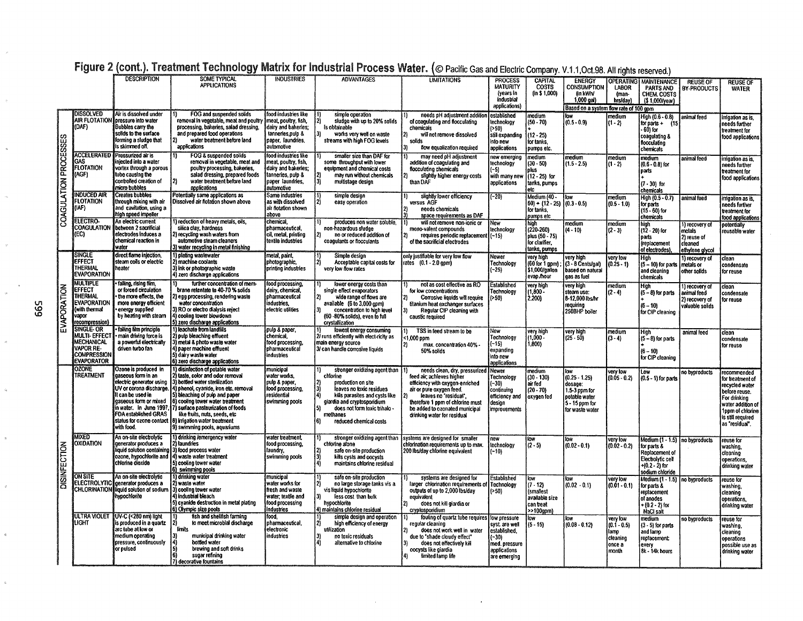|                       |                                                                                                       | <b>DESCRIPTION</b>                                                                                                                                                           | <b>SOME TYPICAL</b><br>APPLICATIONS                                                                                                                                                                                                                                                                                                                                                                                                      | <b>INDUSTRIES</b>                                                                                                         | <b>ADVANTAGES</b>                                                                                                                                                                                                                       | <b>LIMITATIONS</b>                                                                                                                                                                                                                                     | <b>PROCESS</b><br>MATURITY<br>(years in<br>industrial<br>applications)                   | <b>CAPITAL</b><br><b>COSTS</b><br>(in \$ 1,000)                                                               | <b>ENERGY</b><br>Consumption<br>(in kWIV<br>$1,000$ gal)<br>Based on a system flow rate of 100 gpm       | <b>OPERATING</b><br><b>LABOR</b><br>(man-<br>hrs/day)            | <b>MAINTENANCE</b><br>PARTS AND<br>CHEM. COSTS<br>$(51,000$ /year)                                                          | <b>REUSE OF</b><br><b>BY-PRODUCTS</b>                                 | <b>REUSE OF</b><br><b>WATER</b>                                                                                                                                    |
|-----------------------|-------------------------------------------------------------------------------------------------------|------------------------------------------------------------------------------------------------------------------------------------------------------------------------------|------------------------------------------------------------------------------------------------------------------------------------------------------------------------------------------------------------------------------------------------------------------------------------------------------------------------------------------------------------------------------------------------------------------------------------------|---------------------------------------------------------------------------------------------------------------------------|-----------------------------------------------------------------------------------------------------------------------------------------------------------------------------------------------------------------------------------------|--------------------------------------------------------------------------------------------------------------------------------------------------------------------------------------------------------------------------------------------------------|------------------------------------------------------------------------------------------|---------------------------------------------------------------------------------------------------------------|----------------------------------------------------------------------------------------------------------|------------------------------------------------------------------|-----------------------------------------------------------------------------------------------------------------------------|-----------------------------------------------------------------------|--------------------------------------------------------------------------------------------------------------------------------------------------------------------|
|                       | <b>DISSOLVED</b><br>(DAF)                                                                             | Air is dissolved under<br>AIR FLOTATION pressure into water<br>Bubbles carry the<br>solids to the surface<br>forming a sludge that<br>is skimmed off.                        | <b>FOG and suspended solids</b><br>removal in vegetable, meat and poultry I meat, poultry, fish,<br>processing, bakeries, salad dressing,<br>and prepared food operations<br>water treatment before land<br>applications                                                                                                                                                                                                                 | food industries like<br>dairy and bakenes;<br>tanneries, pulp &<br>paper, laundries,<br>automotive                        | simple operation<br>sludge with up to 20% solids<br>Is obtainable<br>31<br>works very well on waste<br>streams with high FOG levels                                                                                                     | needs pH adjustment additio<br>of coagulating and flocculating<br>chemicals<br>will not remove dissolved<br>solids<br>flow equalization required                                                                                                       | established<br>technology<br>(>50)<br>still expanding<br>into new<br>applications        | medium<br>$(50 - 70)$<br>(12 - 25)<br>for tanks.<br>pumps etc.                                                | $(0.5 - 0.9)$                                                                                            | medium<br>$(1 - 2)$                                              | High (0.6 - 0.8)<br>for parts +<br>(15<br>- 60) for<br>coagulating &<br>flocculating<br>chemicals                           | animal feed                                                           | irrigation as is,<br>needs further<br>treatment for<br>food applications                                                                                           |
| COAGULATION PROCESSES | GAS<br><b>FLOTATION</b><br>(AGF)                                                                      | <b>ACCELERATED Pressurized air is</b><br>injected into a water<br>vortex through a porous<br>tube causing the<br>controlled creation of<br>micro bubbles                     | FOG & suspended solids<br>removal in vegetable, meat and<br>poultry processing, bakeries,<br>salad dressing, prepared foods<br>water treatment before land<br>applications                                                                                                                                                                                                                                                               | food industries like<br>meat, poultry, fish,<br>dairy and bakenes;<br>tanneries, pulp &<br>paper laundries.<br>automotive | smaller size than DAF for<br>some throughput with lower<br>equipment and chemical costs<br>may run without chemicals<br>13)<br>multistage design                                                                                        | may need oH adjustment<br>addition of coagulating and<br>flocculating chemicals<br>slightly higher energy costs<br>than DAF                                                                                                                            | new emerging<br>technology<br>(~5)<br>with many new<br>applications                      | medium<br>$(30 - 50)$<br>plus<br>$(12 - 25)$ for<br>tanks, pumps<br>elc                                       | medium<br>$(1.5 - 2.5)$                                                                                  | medium<br>$(1 - 2)$                                              | medium<br>$(0.6 - 0.8)$ for<br>parts<br>$(7 - 30)$ for<br>chemicals                                                         | animal feed                                                           | irrigation as is.<br>needs further<br>treatment for<br>food applications                                                                                           |
|                       | <b>INDUCED AIR</b><br>FLOTATION<br>(IAF)                                                              | <b>Creates bubbles</b><br>through mixing with air<br>and cavitation using a<br>high speed impeller                                                                           | Potentially same applications as<br>Dissolved air fiotation shown above                                                                                                                                                                                                                                                                                                                                                                  | Same industries<br>as with dissolved<br>air flotation shown<br>above                                                      | !1]<br>simple design<br>12<br>easy operation                                                                                                                                                                                            | slightly lower efficiency<br>versus AGF<br>needs chemicals<br>space requirements as DAF                                                                                                                                                                | $(-20)$                                                                                  | Medium (40 -<br>$ 60\rangle +  12\rangle -  25\rangle    0.3\rangle -  0.5\rangle$<br>for tanks,<br>pumps etc | llow                                                                                                     | medium<br>$(0.5 - 1.0)$                                          | High (0.5 - 0.7)<br>for parts<br>$(15 - 60)$ for<br>chemicals                                                               | animal feed                                                           | irrigation as is,<br>needs further<br>treatment for<br>lood applications                                                                                           |
|                       | <b>ELECTRO-</b><br><b>COAGULATION</b><br>(EC)                                                         | An electric current<br>between 2 sacrificial<br>electrodes induces a<br>chemical reaction in<br>water                                                                        | 1) reduction of heavy metals, oils,<br>silica clay, hardness<br>2) recycling wash waters from<br>automotive steam cleaners<br>3) water recycling in metal finishing                                                                                                                                                                                                                                                                      | chemical<br>pharmaceutical,<br>oil, metal, printing<br>textile industries                                                 | produces non water soluble.<br>non-hazardous sludge<br>no or reduced addition of<br>21<br>coagulants or flocculants                                                                                                                     | will not remove non-jonic or<br>mono-valent compounds<br>requires periodic replacement (~15)<br>of the sacrificial electrodes                                                                                                                          | New<br>technology                                                                        | high<br>(220-260)<br>plus (50 - 75)<br>for clarifier.<br>tanks, pumps                                         | medium<br>[(4 - 10)                                                                                      | medium<br>$(2 - 3)$                                              | hinh<br>(12 - 20) for<br>parts<br>(replacement<br>or electrodes)                                                            | 1) recovery of<br>metals<br>2) reuse of<br>cleaned<br>ethylene glycol | potentially<br>reusable water                                                                                                                                      |
| EVAPORATION           | <b>SINGLE</b><br><b>EFFECT</b><br>THERMAL<br><b>EVAPORATION</b>                                       | direct flame injection,<br>steam coils or electric<br>heater                                                                                                                 | 1) plating wastewater<br>2) machine coolants<br>3) ink or photographic waste<br>4) zero discharge applications                                                                                                                                                                                                                                                                                                                           | metal, paint,<br>photographic,<br>printing industries                                                                     | Simple design<br>Acceptable capital costs for<br>very low flow rates                                                                                                                                                                    | only justifiable for very low flow<br>rates (0.1 - 2.0 gpm)                                                                                                                                                                                            | Newer<br>Technology<br>(~25)                                                             | very high<br>(60 for 1 gpm)<br>\$1,000/gallon<br>evap./hour                                                   | very high<br>(3 - 8 Cents/gal)<br>based on natural<br>gas as fuel                                        | very low<br>0.25 - 1)                                            | High<br>(5 - 10) for parts<br>and cleaning<br>chemicals                                                                     | 1) recovery of<br>metals or<br>other solids                           | clean<br>condensate<br>for reuse                                                                                                                                   |
|                       | MULTIPLE<br>EFFECT<br><b>THERMAL</b><br><b>EVAPORATION</b><br>(with thermal<br>vapor<br>recompression | falling, rising film,<br>or forced circulation<br>the more effects, the<br>more energy efficient<br>energy supplied<br>by heating with steam                                 | further concentration of mem-<br>brane retentate to 40-70 % solids<br>2) egg processing, rendering waste<br>water concentration<br>3) RO or electro dialysis reject<br>4) cooling tower blowdown<br>5) zero discharge applications                                                                                                                                                                                                       | food processing.<br>dairy, chemical,<br>pharmaceutical<br>industries.<br>electric utilities                               | lower energy costs than<br>single effect evaporators<br>wide range of flows are<br>available (6 to 3,000 gpm)<br>concentration to high level<br>(60 -80% solids), even to full<br>crystallization                                       | not as cost effective as RO<br>for low concentrations<br>Corrosive liquids will require<br>titanium heat exchanger surfaces<br>Regular CIP cleaning with<br>caustic required                                                                           | <b>Established</b><br>Technology<br>( >50)                                               | very high<br>$(1.600 -$<br>2,200)                                                                             | very high<br>steam use:<br>8-12,000 lbs/hr<br>requiring<br>250BHP boiler                                 | medium<br>$(2 - 4)$                                              | High<br>$(5 - 8)$ for parts<br>$(6 - 10)$<br>for CIP cleaning                                                               | 1) recovery of<br>animal feed<br>2) recovery of<br>valuable solids    | clean<br>condensate<br>for reuse                                                                                                                                   |
|                       | SINGLE- OR<br>MULTI- EFFEC<br>MECHANICAL<br><b>VAPOR RE-</b><br>Compression<br><b>EVAPORATOR</b>      | falling film principle<br>main driving force is<br>a powerful electrically<br>driven turbo fan                                                                               | 1) leachate from landfills<br>2) pulp bleaching effluent<br>3) metal & photo waste water<br>4) paper machine effluent<br>5) dairy waste water<br>6) zero discharge applications                                                                                                                                                                                                                                                          | pulp & paper,<br>chemical,<br>food processing<br>pharmaceutical<br>industries                                             | lowest energy consuming<br>2) runs efficiently with elect-ricity as<br>main energy source<br>3/ can handle corrosive liquids                                                                                                            | TSS in feed stream to be<br><1.000 ppm<br>max. concentration 40% -<br>50% solids                                                                                                                                                                       | New<br>Technology<br>$(-15)$<br>expanding<br>into new<br>applications                    | very high<br>$(1.000 -$<br>1,800)                                                                             | very high<br>(25 - 50)                                                                                   | medium<br>$(3 - 4)$                                              | High<br>$(5 - 8)$ for parts<br>$(6 - 10)$<br>for CIP cleaning                                                               | animal feed                                                           | clean<br>condensate<br>for reuse                                                                                                                                   |
|                       | <b>OZONE</b><br>TREATMENT                                                                             | Ozone is produced in<br>gaseous form in an<br>electric generator using<br>ll can be used in<br>gaseous form or mixed<br><b>FDA established GRAS</b><br>with food.            | 1) disinfection of potable water<br>2) taste, color and odor removal<br>3) bottled water sterilization<br>(UV or corona discharge. 4) phenol, cyanide, iron etc. removal<br>5) bleaching of pulp and paper<br>[6] cooling tower water treatment<br>in water. In June 1997, 7) surface pasteurization of foods<br>like fruits, nuts, seeds, etc<br>status for ozone contact [8] Irrigation water treatment<br>9) swimming pools, aquanums | municipal<br>water works.<br>pulp & paper,<br>food processing.<br>residential<br>i swimming pools                         | stronger oxidizing agent than [1]<br>chlorine<br>production on site<br>leaves no toxic residues<br>kills parasites and cysts like<br>giardia and cryptosporidium<br>does not form toxic trihalo -<br>methanes<br>reduced chemical costs | needs clean, dry, pressurized<br>feed air; achieves higher<br>efficiency with oxygen-enriched<br>air or pure oxygen feed.<br>leaves no "residual"<br>therefore 1 ppm of chlorine must<br>be added to ozonated municipal<br>drinking water for residual | Newer<br>Technology<br>$(-30)$<br>continuing<br>efficiency and<br>design<br>improvements | medium<br>$(30 - 130)$<br>air fed<br>$(20 - 70)$<br>oxygen fed                                                | low<br>$(0.25 - 1.25)$<br>dosage:<br>1.5-3 ppm for<br>potable water<br>5 - 15 ppm for<br>for waste water | very low<br>$(0.05 - 0.2)$                                       | Low<br>(0.5 - 1) for parts                                                                                                  | no byproducts                                                         | recommended<br>for treatment of<br>recycled water<br>before reuse.<br>For drinking<br>water addition of<br>1ppm of chlorine<br>is still required<br>as "residual". |
| DISINFECTION          | MIXED<br>OXIDATION                                                                                    | An on-site electrolytic<br>qenerator produces a<br>liquid solution containing 3) food process water<br>ozone, hypochlorite and (4) waste water treatment<br>chlorine dioxide | 1) drinking /emergency water<br>2) laundries<br>5) cooling tower water<br>6) swimming pools                                                                                                                                                                                                                                                                                                                                              | water treatment,<br>food processing.<br>laundry,<br>swimming pools                                                        | stronger oxidizing agent than<br>chlorine alone<br>safe on-site production<br>kills cysts and oocysts<br>۵Ī<br>maintains chlorine residual                                                                                              | systems are designed for smaller<br>chlorination requirements up to max.<br>200 lbs/day chlorine equivalent                                                                                                                                            | new<br>technology<br>(~10)                                                               | low<br>$(2 - 5)$                                                                                              | $(0.02 - 0.1)$                                                                                           | very low<br>(0.02 - 0.2)                                         | Medium (1 - 1.5) no byproducts<br>for parts &<br>Replacement of<br>Electrolytic cell<br>$+(0.2 - 2)$ for<br>sodium chloride |                                                                       | reuse for<br>washing,<br>cleaning<br>operations,<br>drinking water                                                                                                 |
|                       | ON SITE                                                                                               | An on-site electrolytic<br>ELECTROLYTIC generator produces a<br>CHLORINATION iiquid solution of sodium   3) cooling tower water<br>hypochlorite                              | 1) drinking water<br>2) waste water<br>4) industrial bleach<br>5) cvanide destruction in metal plating<br>6) Olympic size pools                                                                                                                                                                                                                                                                                                          | municipal<br>water works for<br>fresh and waste<br>water; textile and<br>food processing<br>industries                    | safe on-site production<br>no large storage tanks vis a<br>vis liquid hypochlonte<br>less cost than bulk<br>hypochlorite<br>4) maintains chlorine residual                                                                              | systems are designed for<br>larger chlorination requirements of<br>outputs of up to 2,000 lbs/day<br>equivalent<br>does not kill giardia or<br>cryptosporidium                                                                                         | <b>Established</b><br>Technology<br>( > 50)                                              | low<br>$(7 - 12)$<br><i><b>(smallest</b></i><br>available size<br>can treat<br>>>100gpm)                      | $(0.02 - 0.1)$                                                                                           | very low<br>$(0.01 - 0.1)$                                       | Medium (1 - 1.5)   no byproducts<br>for parts &<br>replacement<br>of anodes<br>+ (0.2 - 2) for<br>NaCl salt                 |                                                                       | reuse for<br>washing,<br>cleaning<br>operations.<br>drinking water                                                                                                 |
|                       | <b>ULTRA VIOLET</b><br>LIGHT                                                                          | <b>IUV-C (&lt;280 nm) light</b><br>is produced in a quartz<br>arc tube at low or<br>medium operating<br>pressure, continuously<br>or pulsed                                  | fish and shellfish farming<br>to meet microbial discharge<br>limits<br>municipal drinking water<br>bottled water<br>brewing and soft drinks<br>sugar refining<br>7) decorative fountains                                                                                                                                                                                                                                                 | food,<br>pharmaceutical.<br>electronic<br>industries                                                                      | simple design and operation<br>high efficiency of energy<br>utilization<br>no toxic residuals<br>alternative to chlorine                                                                                                                | fouling of quartz tube requires fow pressure<br>regular cleaning<br>does not work well in water<br>due to "shade cloudy effect"<br>does not effectively kill<br>oocysts like giardia<br>limited lamp life                                              | syst are well<br>established.<br>(~30)<br>med. pressure<br>applications<br>are emerging  | low<br>$(5 - 15)$                                                                                             | $(0.08 - 0.12)$                                                                                          | very low<br>$(0.1 - 0.5)$<br>lamo<br>cleaning<br>once a<br>month | medium<br>$(3 - 5)$ for parts<br>and lamp<br>replacement<br>every<br>8k - 14k hours                                         | no byproducts                                                         | reuse for<br>washing,<br>cleaning<br>operations<br>possible use as<br>drinking water                                                                               |

# Figure 2 (cont.). Treatment Technology Matrix for Industrial Process Water. (© Pacific Gas and Electric Company. V.1.1, Oct.98. All rights reserved.)

665

 $\bar{\mathcal{M}}$ 

 $\hat{q}$ 

 $\mathbf{r}$ 

 $\hat{\phi}$ 

 $\phi^{\pm}$ 

 $\mathbf{z}_i$ 

 $\bar{\rm z}$ 

 $\bar{\bar{z}}$ 

 $\mathbf{g}$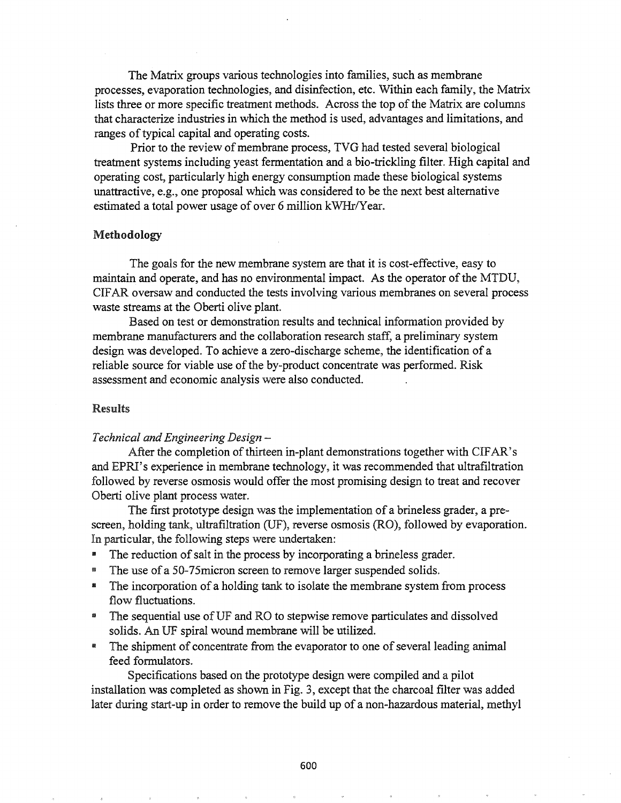The Matrix groups various technologies into families, such as membrane processes, evaporation technologies, and disinfection, etc. Within each family, the Matrix lists three or more specific treatment methods. Across the top of the Matrix are columns that characterize industries in which the method is used, advantages and limitations, and ranges of typical capital and operating costs.

Prior to the review of membrane process, TVG had tested several biological treatment systems including yeast fermentation and a bio-trickling filter. High capital and operating cost, particularly high energy consumption made these biological systems unattractive, e.g., one proposal which was considered to be the next best alternative estimated a total power usage of over 6 million kWHr/Year.

#### Methodology

The goals for the new membrane system are that it is cost-effective, easy to maintain and operate, and has no environmental impact. As the operator of the MTDU, CIFAR oversaw and conducted the tests involving various membranes on several process waste streams at the Oberti olive plant.

Based on test or demonstration results and technical information provided by membrane manufacturers and the collaboration research staff, a preliminary system design was developed. To achieve a zero-discharge scheme, the identification of a reliable source for viable use of the by-product concentrate was performed. Risk assessment and economic analysis were also conducted.

#### Results

#### *Technical and Engineering Design -*

After the completion of thirteen in-plant demonstrations together with CIFAR's and EPRI's experience in membrane technology, it was recommended that ultrafiltration followed by reverse osmosis would offer the most promising design to treat and recover Oberti olive plant process water.

The first prototype design was the implementation of a brineless grader, a prescreen, holding tank, ultrafiltration (UF), reverse osmosis (RO), followed by evaporation.. In particular, the following steps were undertaken:

- **II** The reduction of salt in the process by incorporating a brineless grader.
- The use of a 50-75 micron screen to remove larger suspended solids.
- **III** The incorporation of a holding tank to isolate the membrane system from process flow fluctuations.
- <sup>m</sup> The sequential use ofUF and RO to stepwise remove particulates and dissolved solids. An UF spiral wound membrane will be utilized.
- The shipment of concentrate from the evaporator to one of several leading animal feed formulators.

Specifications based on the prototype design were compiled and a pilot installation was completed as shown in Fig. 3, except that the charcoal filter was added later during start-up in order to remove the build up of a non-hazardous material, methyl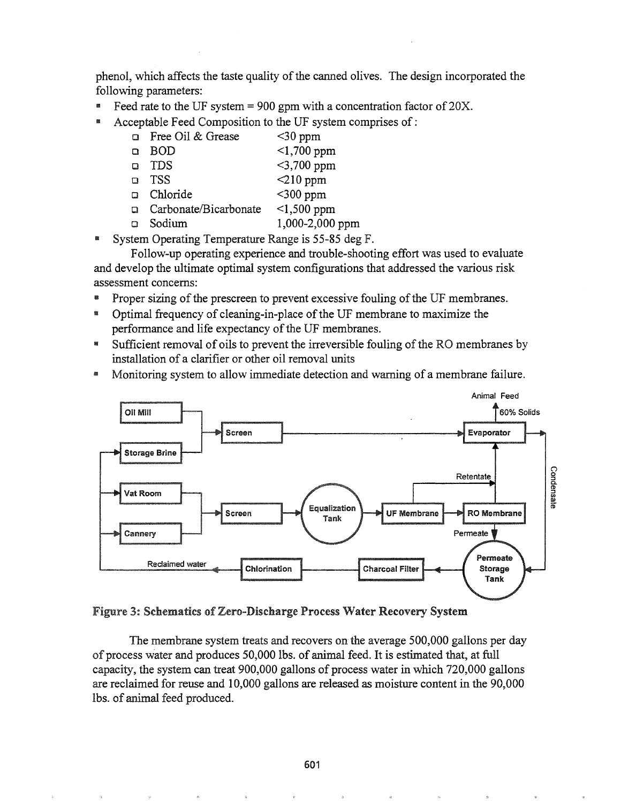phenol, which affects the taste quality of the canned olives. The design incorporated the following parameters:

- Feed rate to the UF system = 900 gpm with a concentration factor of  $20X$ .
- Acceptable Feed Composition to the UF system comprises of:
	- $\Box$  Free Oil & Grease  $\leq 30$  ppm
	- Cl BOD <1,700 ppm
	- $\Box$  TDS  $\leq$ 3,700 ppm
	- $\Box$  TSS  $\bigotimes$  210 ppm
	- $\Box$  Chloride  $\leq$ 300 ppm
	- $\Box$  Carbonate/Bicarbonate <1,500 ppm
	- CJ Sodium 1,000-2,000 ppm
- System Operating Temperature Range is 55-85 deg F.

Follow-up operating experience and trouble-shooting effort was used to evaluate and develop the ultimate optimal system configurations that addressed the various risk assessment concerns:

- Proper sizing of the prescreen to prevent excessive fouling of the UF membranes.
- Optimal frequency of cleaning-in-place of the UF membrane to maximize the performance and life expectancy of the UF membranes.
- IIII Sufficient removal of oils to prevent the irreversible fouling of the RO membranes by installation of a clarifier or other oil removal units
- <sup>144</sup> Monitoring system to allow immediate detection and warning of a membrane failure.



Figure 3: Schematics of Zero-Discharge Process Water Recovery System

The membrane system treats and recovers on the average 500,000 gallons per day of process water and produces 50,000 lbs. of animal feed. It is estimated that, at full capacity, the system can treat  $900,000$  gallons of process water in which  $720,000$  gallons are reclaimed for reuse and 10,000 gallons are released as moisture content in the 90,000 lbs. of animal feed produced.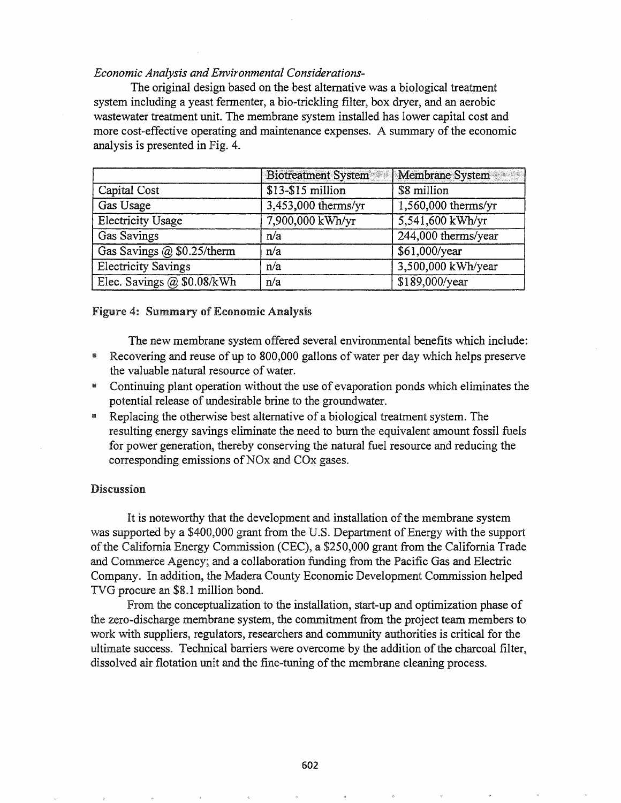## *Economic Analysis and Environmental Considerations-*

The original design based on the best alternative was a biological treatment system including a yeast fermenter, a bio-trickling filter, box dryer, and an aerobic wastewater treatment unit. The membrane system installed has lower capital cost and more cost-effective operating and maintenance expenses. A summary of the economic analysis is presented in Fig. 4.

|                            | <b>Biotreatment System</b> | Membrane System       |
|----------------------------|----------------------------|-----------------------|
| Capital Cost               | $$13-$15$ million          | \$8 million           |
| Gas Usage                  | 3,453,000 therms/yr        | $1,560,000$ therms/yr |
| <b>Electricity Usage</b>   | 7,900,000 kWh/yr           | 5,541,600 kWh/yr      |
| <b>Gas Savings</b>         | n/a                        | 244,000 therms/year   |
| Gas Savings @ \$0.25/therm | n/a                        | \$61,000/year         |
| <b>Electricity Savings</b> | n/a                        | 3,500,000 kWh/year    |
| Elec. Savings @ \$0.08/kWh | n/a                        | \$189,000/year        |

#### Figure 4: Summary of Economic Analysis

The new membrane system offered several environmental benefits which include:

- Recovering and reuse of up to 800,000 gallons of water per day which helps preserve the valuable natural resource of water.
- **m** Continuing plant operation without the use of evaporation ponds which eliminates the potential release of undesirable brine to the groundwater..
- <sup>m</sup> Replacing the otherwise best alternative of a biological treatment system. The resulting energy savings eliminate the need to burn the equivalent amount fossil fuels for power generation, thereby conserving the natural fuel resource and reducing the corresponding emissions of NO<sub>x</sub> and CO<sub>x</sub> gases.

#### **Discussion**

It is noteworthy that the development and installation of the membrane system was supported by a \$400,000 grant from the U.S. Department of Energy with the support of the California Energy Commission (CEC), a \$250,000 grant from the California Trade and Commerce Agency; and a collaboration funding from the Pacific Gas and Electric Company. In addition, the Madera County Economic Development Commission helped TVG procure an \$8.1 million bond.

From the conceptualization to the installation, start-up and optimization phase of the zero-discharge membrane system, the commitment from the project team members to work with suppliers, regulators, researchers and community authorities is critical for the ultimate success. Technical barriers were overcome by the addition of the charcoal filter, dissolved air flotation unit and the fine-tuning of the membrane cleaning process.